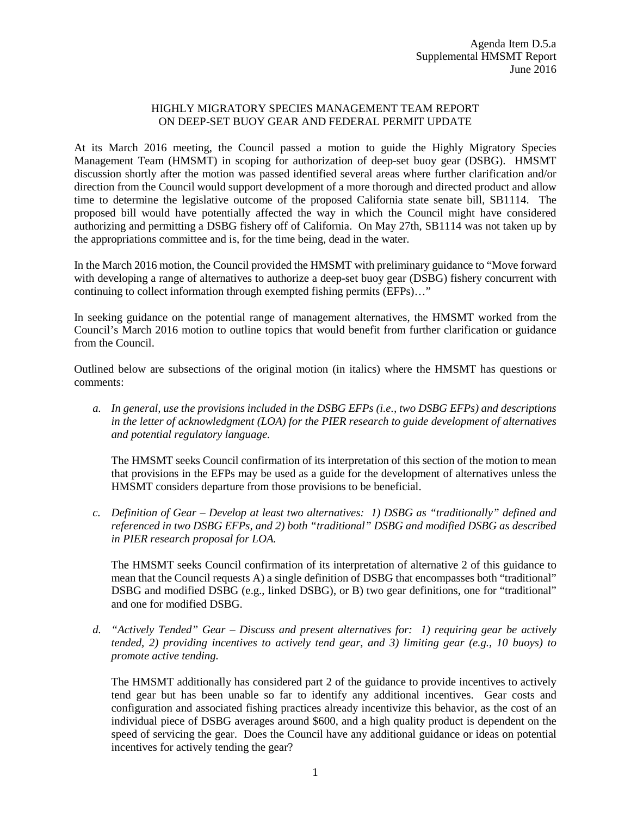## HIGHLY MIGRATORY SPECIES MANAGEMENT TEAM REPORT ON DEEP-SET BUOY GEAR AND FEDERAL PERMIT UPDATE

At its March 2016 meeting, the Council passed a motion to guide the Highly Migratory Species Management Team (HMSMT) in scoping for authorization of deep-set buoy gear (DSBG). HMSMT discussion shortly after the motion was passed identified several areas where further clarification and/or direction from the Council would support development of a more thorough and directed product and allow time to determine the legislative outcome of the proposed California state senate bill, SB1114. The proposed bill would have potentially affected the way in which the Council might have considered authorizing and permitting a DSBG fishery off of California. On May 27th, SB1114 was not taken up by the appropriations committee and is, for the time being, dead in the water.

In the March 2016 motion, the Council provided the HMSMT with preliminary guidance to "Move forward with developing a range of alternatives to authorize a deep-set buoy gear (DSBG) fishery concurrent with continuing to collect information through exempted fishing permits (EFPs)…"

In seeking guidance on the potential range of management alternatives, the HMSMT worked from the Council's March 2016 motion to outline topics that would benefit from further clarification or guidance from the Council.

Outlined below are subsections of the original motion (in italics) where the HMSMT has questions or comments:

*a. In general, use the provisions included in the DSBG EFPs (i.e., two DSBG EFPs) and descriptions in the letter of acknowledgment (LOA) for the PIER research to guide development of alternatives and potential regulatory language.*

The HMSMT seeks Council confirmation of its interpretation of this section of the motion to mean that provisions in the EFPs may be used as a guide for the development of alternatives unless the HMSMT considers departure from those provisions to be beneficial.

*c. Definition of Gear – Develop at least two alternatives: 1) DSBG as "traditionally" defined and referenced in two DSBG EFPs, and 2) both "traditional" DSBG and modified DSBG as described in PIER research proposal for LOA.*

The HMSMT seeks Council confirmation of its interpretation of alternative 2 of this guidance to mean that the Council requests A) a single definition of DSBG that encompasses both "traditional" DSBG and modified DSBG (e.g., linked DSBG), or B) two gear definitions, one for "traditional" and one for modified DSBG.

*d. "Actively Tended" Gear – Discuss and present alternatives for: 1) requiring gear be actively tended, 2) providing incentives to actively tend gear, and 3) limiting gear (e.g., 10 buoys) to promote active tending.*

The HMSMT additionally has considered part 2 of the guidance to provide incentives to actively tend gear but has been unable so far to identify any additional incentives. Gear costs and configuration and associated fishing practices already incentivize this behavior, as the cost of an individual piece of DSBG averages around \$600, and a high quality product is dependent on the speed of servicing the gear. Does the Council have any additional guidance or ideas on potential incentives for actively tending the gear?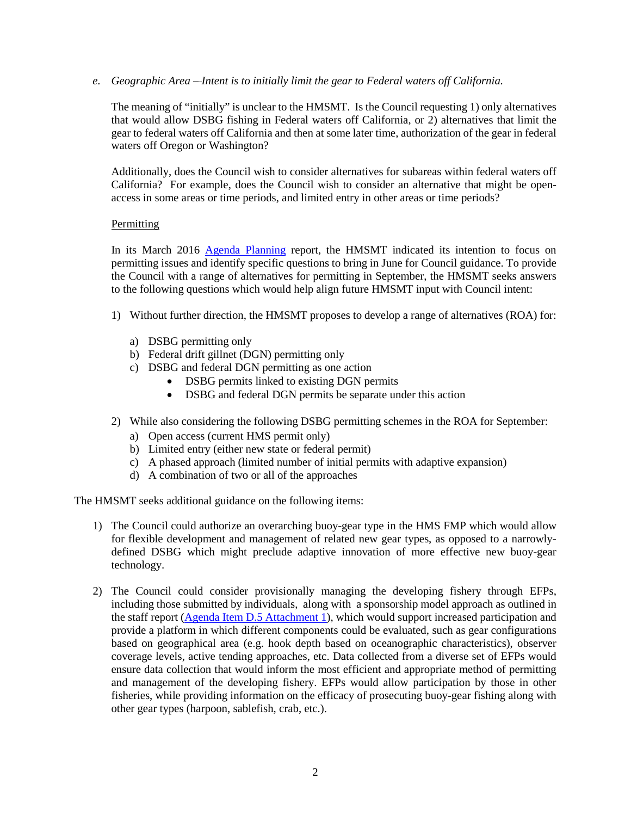*e. Geographic Area – Intent is to initially limit the gear to Federal waters off California.* 

The meaning of "initially" is unclear to the HMSMT. Is the Council requesting 1) only alternatives that would allow DSBG fishing in Federal waters off California, or 2) alternatives that limit the gear to federal waters off California and then at some later time, authorization of the gear in federal waters off Oregon or Washington?

Additionally, does the Council wish to consider alternatives for subareas within federal waters off California? For example, does the Council wish to consider an alternative that might be openaccess in some areas or time periods, and limited entry in other areas or time periods?

## **Permitting**

In its March 2016 [Agenda Planning](http://www.pcouncil.org/wp-content/uploads/2016/03/I3a_Sup_HMSMT_Rpt_MAR2016BB.pdf) report, the HMSMT indicated its intention to focus on permitting issues and identify specific questions to bring in June for Council guidance. To provide the Council with a range of alternatives for permitting in September, the HMSMT seeks answers to the following questions which would help align future HMSMT input with Council intent:

- 1) Without further direction, the HMSMT proposes to develop a range of alternatives (ROA) for:
	- a) DSBG permitting only
	- b) Federal drift gillnet (DGN) permitting only
	- c) DSBG and federal DGN permitting as one action
		- DSBG permits linked to existing DGN permits
		- DSBG and federal DGN permits be separate under this action
- 2) While also considering the following DSBG permitting schemes in the ROA for September:
	- a) Open access (current HMS permit only)
	- b) Limited entry (either new state or federal permit)
	- c) A phased approach (limited number of initial permits with adaptive expansion)
	- d) A combination of two or all of the approaches

The HMSMT seeks additional guidance on the following items:

- 1) The Council could authorize an overarching buoy-gear type in the HMS FMP which would allow for flexible development and management of related new gear types, as opposed to a narrowlydefined DSBG which might preclude adaptive innovation of more effective new buoy-gear technology.
- 2) The Council could consider provisionally managing the developing fishery through EFPs, including those submitted by individuals, along with a sponsorship model approach as outlined in the staff report [\(Agenda Item D.5 Attachment 1\)](http://www.pcouncil.org/wp-content/uploads/2016/06/D5_Att1_Considerations_DSBG_JUN2016BB.pdf), which would support increased participation and provide a platform in which different components could be evaluated, such as gear configurations based on geographical area (e.g. hook depth based on oceanographic characteristics), observer coverage levels, active tending approaches, etc. Data collected from a diverse set of EFPs would ensure data collection that would inform the most efficient and appropriate method of permitting and management of the developing fishery. EFPs would allow participation by those in other fisheries, while providing information on the efficacy of prosecuting buoy-gear fishing along with other gear types (harpoon, sablefish, crab, etc.).